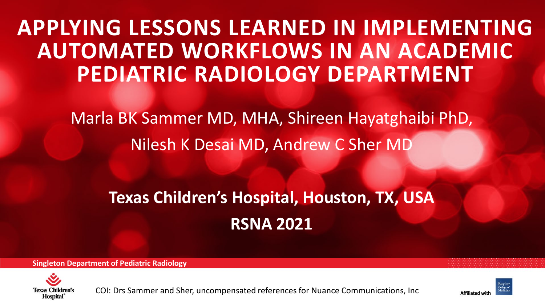# **APPLYING LESSONS LEARNED IN IMPLEMENTING AUTOMATED WORKFLOWS IN AN ACADEMIC PEDIATRIC RADIOLOGY DEPARTMENT**

Marla BK Sammer MD, MHA, Shireen Hayatghaibi PhD, Nilesh K Desai MD, Andrew C Sher MD

## **Texas Children's Hospital, Houston, TX, USA RSNA 2021**

**Singleton Department of Pediatric Radiology**



COI: Drs Sammer and Sher, uncompensated references for Nuance Communications, Inc



**Affiliated w**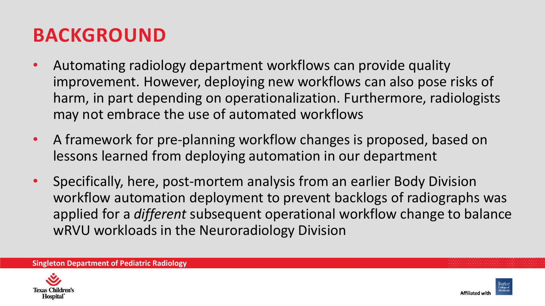## **BACKGROUND**

- Automating radiology department workflows can provide quality improvement. However, deploying new workflows can also pose risks of harm, in part depending on operationalization. Furthermore, radiologists may not embrace the use of automated workflows
- A framework for pre-planning workflow changes is proposed, based on lessons learned from deploying automation in our department
- Specifically, here, post-mortem analysis from an earlier Body Division workflow automation deployment to prevent backlogs of radiographs was applied for a *different* subsequent operational workflow change to balance wRVU workloads in the Neuroradiology Division



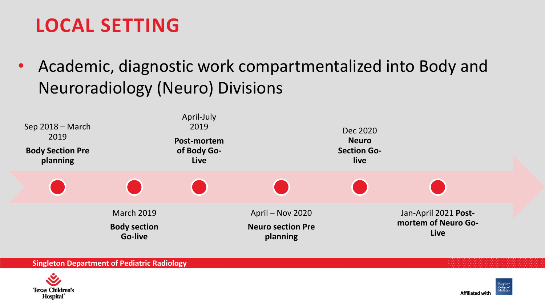## **LOCAL SETTING**

• Academic, diagnostic work compartmentalized into Body and Neuroradiology (Neuro) Divisions





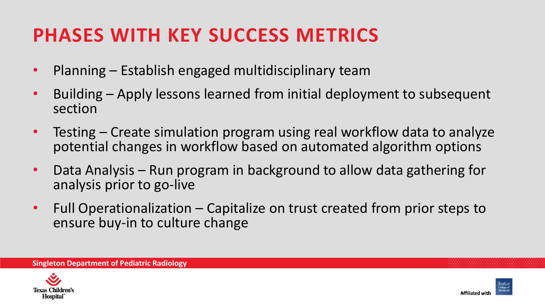## **PHASES WITH KEY SUCCESS METRICS**

- Planning Establish engaged multidisciplinary team
- Building Apply lessons learned from initial deployment to subsequent section
- Testing Create simulation program using real workflow data to analyze potential changes in workflow based on automated algorithm options
- Data Analysis Run program in background to allow data gathering for analysis prior to go-live
- Full Operationalization Capitalize on trust created from prior steps to ensure buy-in to culture change



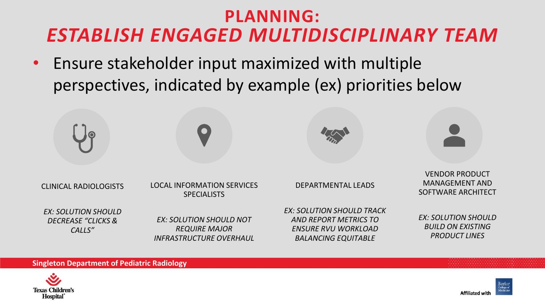## **PLANNING:**  *ESTABLISH ENGAGED MULTIDISCIPLINARY TEAM*

• Ensure stakeholder input maximized with multiple perspectives, indicated by example (ex) priorities below





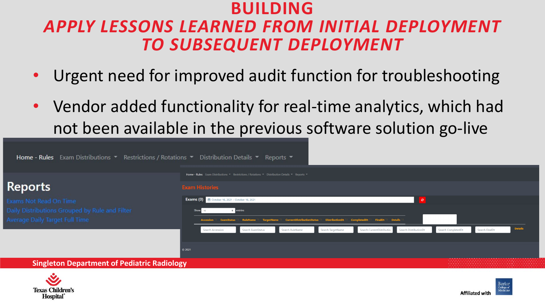### **BUILDING**  *APPLY LESSONS LEARNED FROM INITIAL DEPLOYMENT TO SUBSEQUENT DEPLOYMENT*

- Urgent need for improved audit function for troubleshooting
- Vendor added functionality for real-time analytics, which had not been available in the previous software solution go-live

| <b>Home - Rules</b> Exam Distributions $\bullet$ Restrictions / Rotations $\bullet$ Distribution Details $\bullet$ Reports $\bullet$ |                                                                                                                        |                                                             |                   |                                  |                              |                                                  |             |                    |                |                |  |  |
|--------------------------------------------------------------------------------------------------------------------------------------|------------------------------------------------------------------------------------------------------------------------|-------------------------------------------------------------|-------------------|----------------------------------|------------------------------|--------------------------------------------------|-------------|--------------------|----------------|----------------|--|--|
| <b>Reports</b>                                                                                                                       | Home - Rules Exam Distributions ▼ Restrictions / Rotations ▼ Distribution Details ▼ Reports ▼<br><b>Exam Histories</b> |                                                             |                   |                                  |                              |                                                  |             |                    |                |                |  |  |
| Exams Not Read On Time<br>Daily Distributions Grouped by Rule and Filter<br><b>Average Daily Target Full Time</b>                    |                                                                                                                        | Exams (0) <sup>th</sup> October 16, 2021 - October 16, 2021 | e entries         | <b>CurrentDistributionStatus</b> | DistributionDt   CompletedDt | FinalDt <sup>11</sup> Details                    | <b>Part</b> |                    |                |                |  |  |
|                                                                                                                                      | ◎ 2021                                                                                                                 | Search Accession                                            | Search ExamStatus | Search RuleName                  | Search TargetName            | Search CurrentDistribution Search DistributionDt |             | Search CompletedDt | Search FinalDt | <b>Details</b> |  |  |
| <b>Singleton Department of Pediatric Radiology</b>                                                                                   |                                                                                                                        |                                                             |                   |                                  |                              |                                                  |             |                    |                |                |  |  |



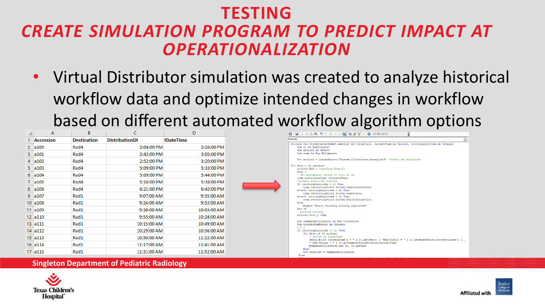### **TESTING**  *CREATE SIMULATION PROGRAM TO PREDICT IMPACT AT OPERATIONALIZATION*

• Virtual Distributor simulation was created to analyze historical workflow data and optimize intended changes in workflow based on different automated workflow algorithm options

|                | A                     | B                  |                       | D           | 夏・日本町高品質                                                 |
|----------------|-----------------------|--------------------|-----------------------|-------------|----------------------------------------------------------|
|                | <b>Accession</b>      | <b>Destination</b> | <b>DistributionDt</b> | fDateTime   | <b>Generall</b>                                          |
| $\overline{2}$ | a100                  | Rad4               | 2:04:00 PM            | 2:26:00 PM  | Private Sub SortObje<br>Dim it As Radiol                 |
| 3              | a101                  | Rad4               | 2:42:00 PM            | 3:05:00 PM  | Dim arrList As O<br>Dim comp As New                      |
| 4              | a102                  | Rad4               | 2:52:00 PM            | 3:20:00 PM  | $Set$ arrList = $Cr$                                     |
| 5.             | a103                  | Rad4               | 5:09:00 PM            | 5:33:00 PM  | For Each i In userLi<br>arrList.Add i 'u                 |
| 6              | a104                  | Rad4               | 5:09:00 PM            | 5:44:00 PM  | Next i<br>' set MyComparer                               |
|                | a105                  | Rad4               | 5:16:00 PM            | 5:38:00 PM  | comp.setCurrentT<br>'Dynamic Algorit<br>If (sortingAlgor |
| 8              | a106                  | Rad4               | 6:21:00 PM            | 6:42:00 PM  | comp.SetSort<br>ElseIf (sortingA                         |
| 9              | a107                  | Rad1               | 9:07:00 AM            | 9:35:00 AM  | comp.SetSort<br>ElseIf (sortingA                         |
|                | $10$ a $108$          | Rad1               | 9:24:00 AM            | 9:52:00 AM  | comp.SetSort<br>Else<br>MsgBox "Erro                     |
|                | 11 a109               | Rad1               | 9:38:00 AM            | 10:03:00 AM | End If<br>' perform sortin                               |
|                | $12 \vert 4110 \vert$ | Rad1               | 9:55:00 AM            | 10:24:00 AM | arrList.Sort 2 c                                         |
|                | 13   3111             | Rad1               | 10:15:00 AM           | 10:49:00 AM | Dim tempRadsColl<br>Dim currentNumDi                     |
|                | 14 a112               | Rad1               | 10:29:00 AM           | 10:56:00 AM | $1 = 1$<br>If (sortingAlgor<br>For Each it               |
|                | $15$ a $113$          | Rad1               | 10:50:00 AM           | 11:22:00 AM | **Sorted<br>Debug, Pr                                    |
|                | $16$ a $114$          | Rad1               | 11:17:00 AM           | 11:41:00 AM | " Num Un<br>tempRads                                     |
|                | 17 a115               | Rad1               | 11:31:00 AM           | 11:52:00 AM | Next<br>Set userList                                     |





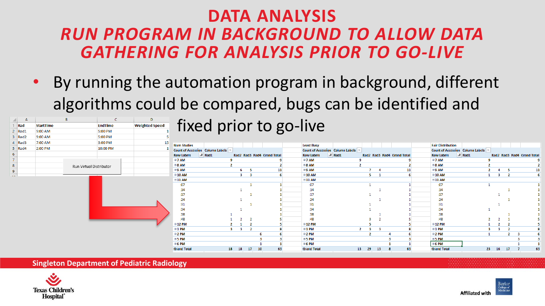### **DATA ANALYSIS** *RUN PROGRAM IN BACKGROUND TO ALLOW DATA GATHERING FOR ANALYSIS PRIOR TO GO-LIVE*

• By running the automation program in background, different algorithms could be compared, bugs can be identified and

| A           |                  |                         | D                     |                                                        |                   |          |                            |    |                                                         |                |    |                            |                                                                     |                   |    |                |                            |
|-------------|------------------|-------------------------|-----------------------|--------------------------------------------------------|-------------------|----------|----------------------------|----|---------------------------------------------------------|----------------|----|----------------------------|---------------------------------------------------------------------|-------------------|----|----------------|----------------------------|
| Rad         | <b>StartTime</b> | <b>EndTime</b>          | <b>Weighted Speed</b> |                                                        |                   |          |                            |    | fixed prior to go-live                                  |                |    |                            |                                                                     |                   |    |                |                            |
| $2$ Rad1    | 9:00 AM          | 5:00 PM                 |                       |                                                        |                   |          |                            |    |                                                         |                |    |                            |                                                                     |                   |    |                |                            |
| 3 Rad2      | 9:00 AM          | 5:00 PM                 |                       |                                                        |                   |          |                            |    |                                                         |                |    |                            |                                                                     |                   |    |                |                            |
| 4 Rad3      | 7:00 AM          | 3:00 PM                 |                       |                                                        |                   |          |                            |    |                                                         |                |    |                            |                                                                     |                   |    |                |                            |
| 5 Rad4      | 2:00 PM          | 10:00 PM                |                       | <b>Num Studies</b><br>Count of Accession Column Labels |                   |          |                            |    | <b>Least Busy</b><br>Count of Accession Column Labels ~ |                |    |                            | <b>Fair Distribution</b><br><b>Count of Accession Column Labels</b> |                   |    |                |                            |
|             |                  |                         |                       |                                                        |                   |          |                            |    |                                                         |                |    |                            |                                                                     |                   |    |                |                            |
|             |                  |                         |                       | <b>Row Labels</b>                                      | $\mathbb{F}$ Rad1 |          | Rad2 Rad3 Rad4 Grand Total |    | $\sqrt{x}$ Rad1<br><b>Row Labels</b>                    |                |    | Rad2 Rad3 Rad4 Grand Total | <b>Row Labels</b>                                                   | $\mathbb{F}$ Rad1 |    |                | Rad2 Rad3 Rad4 Grand Total |
|             |                  |                         |                       | <b>®7 AM</b>                                           |                   |          |                            |    | <b>®7 AM</b><br>⊕8 AM                                   |                |    |                            | <b>®7 AM</b><br>@8AM                                                |                   |    |                |                            |
|             |                  | Run Virtual Distributor |                       | ■8 AM                                                  |                   |          |                            |    |                                                         |                |    |                            |                                                                     |                   |    |                |                            |
|             |                  |                         |                       | <b>®9 AM</b>                                           |                   |          |                            | 11 | <sup>⊕</sup> 9 AM                                       |                |    | 11                         | ®9 AM                                                               |                   |    |                | 11                         |
| <b>SAMP</b> |                  |                         |                       | ⊕10 AM                                                 |                   |          |                            |    | ⊕10 AM                                                  |                |    |                            | ⊕10 AM                                                              |                   |    | $\overline{2}$ |                            |
|             |                  |                         |                       | $@11$ AM                                               |                   |          |                            |    | $\otimes$ 11 AM                                         |                |    |                            | $\odot$ 11 AM                                                       |                   |    |                |                            |
|             |                  |                         |                       | :07                                                    |                   |          |                            |    | :07                                                     |                |    |                            | :07                                                                 |                   |    |                |                            |
|             |                  |                         |                       | :14                                                    |                   |          |                            |    | : 14                                                    |                |    |                            | :14                                                                 |                   |    |                |                            |
|             |                  |                         |                       | 17                                                     |                   |          |                            |    | 17                                                      |                |    |                            | 17                                                                  |                   |    |                |                            |
|             |                  |                         |                       | :24                                                    |                   |          |                            |    | : 24                                                    |                |    |                            | : 24                                                                |                   |    |                |                            |
|             |                  |                         |                       | :31                                                    |                   |          |                            |    | :31                                                     |                |    |                            | :31                                                                 |                   |    |                |                            |
|             |                  |                         |                       | :34                                                    |                   |          |                            |    | :34                                                     |                |    |                            | :34                                                                 |                   |    |                |                            |
|             |                  |                         |                       | :38                                                    |                   |          |                            |    | :38                                                     |                |    |                            | :38                                                                 |                   |    |                |                            |
|             |                  |                         |                       | :48                                                    |                   |          |                            |    | :48                                                     |                |    |                            | :48                                                                 |                   |    |                |                            |
|             |                  |                         |                       | ⊕12 PM                                                 |                   |          |                            |    | ⊕12 PM                                                  |                |    |                            | $\odot$ 12 PM                                                       |                   |    |                |                            |
|             |                  |                         |                       | ⊕1 PM                                                  |                   | 3        |                            |    | $01$ PM                                                 | $\overline{2}$ |    |                            | $01$ PM                                                             |                   |    | $\mathbf{r}$   |                            |
|             |                  |                         |                       | ⊕2 PM                                                  |                   |          |                            |    | $\Theta$ 2 PM                                           |                |    |                            | ⊕2 PM                                                               |                   |    |                |                            |
|             |                  |                         |                       | ⊕5 PM                                                  |                   |          |                            |    | $\otimes$ 5 PM                                          |                |    |                            | $\Theta$ 5 PM                                                       |                   |    |                |                            |
|             |                  |                         |                       | ⊕6 PM                                                  |                   |          |                            |    | <b>■6PM</b>                                             |                |    |                            | ⊕6 PM                                                               |                   |    |                |                            |
|             |                  |                         |                       | <b>Grand Total</b>                                     | 18                | 18<br>17 | 10                         | 63 | <b>Grand Total</b>                                      | 13<br>29       | 13 | 63                         | <b>Grand Total</b>                                                  |                   | 23 | 16 17          | 63                         |

**Singleton Department of Pediatric Radiology**



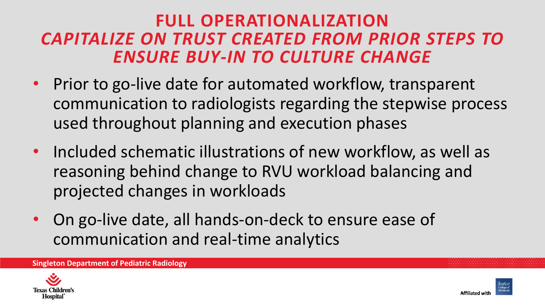### **FULL OPERATIONALIZATION** *CAPITALIZE ON TRUST CREATED FROM PRIOR STEPS TO ENSURE BUY-IN TO CULTURE CHANGE*

- Prior to go-live date for automated workflow, transparent communication to radiologists regarding the stepwise process used throughout planning and execution phases
- Included schematic illustrations of new workflow, as well as reasoning behind change to RVU workload balancing and projected changes in workloads
- On go-live date, all hands-on-deck to ensure ease of communication and real-time analytics